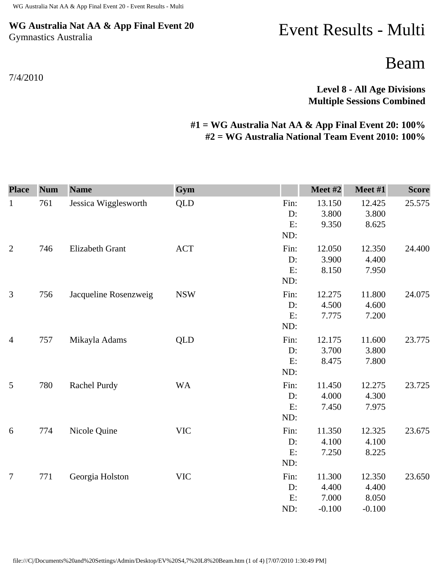## **WG Australia Nat AA & App Final Event 20** Gymnastics Australia

7/4/2010

## Event Results - Multi

Beam

**Level 8 - All Age Divisions Multiple Sessions Combined** 

## **#1 = WG Australia Nat AA & App Final Event 20: 100% #2 = WG Australia National Team Event 2010: 100%**

| <b>Place</b>   | <b>Num</b> | <b>Name</b>           | Gym        |                         | Meet #2                              | Meet #1                              | <b>Score</b> |
|----------------|------------|-----------------------|------------|-------------------------|--------------------------------------|--------------------------------------|--------------|
| $\mathbf{1}$   | 761        | Jessica Wigglesworth  | <b>QLD</b> | Fin:<br>D:<br>E:<br>ND: | 13.150<br>3.800<br>9.350             | 12.425<br>3.800<br>8.625             | 25.575       |
| $\sqrt{2}$     | 746        | Elizabeth Grant       | <b>ACT</b> | Fin:<br>D:<br>E:<br>ND: | 12.050<br>3.900<br>8.150             | 12.350<br>4.400<br>7.950             | 24.400       |
| 3              | 756        | Jacqueline Rosenzweig | <b>NSW</b> | Fin:<br>D:<br>E:<br>ND: | 12.275<br>4.500<br>7.775             | 11.800<br>4.600<br>7.200             | 24.075       |
| $\overline{4}$ | 757        | Mikayla Adams         | <b>QLD</b> | Fin:<br>D:<br>E:<br>ND: | 12.175<br>3.700<br>8.475             | 11.600<br>3.800<br>7.800             | 23.775       |
| $\mathfrak{S}$ | 780        | Rachel Purdy          | <b>WA</b>  | Fin:<br>D:<br>E:<br>ND: | 11.450<br>4.000<br>7.450             | 12.275<br>4.300<br>7.975             | 23.725       |
| 6              | 774        | Nicole Quine          | <b>VIC</b> | Fin:<br>D:<br>E:<br>ND: | 11.350<br>4.100<br>7.250             | 12.325<br>4.100<br>8.225             | 23.675       |
| $\overline{7}$ | 771        | Georgia Holston       | <b>VIC</b> | Fin:<br>D:<br>E:<br>ND: | 11.300<br>4.400<br>7.000<br>$-0.100$ | 12.350<br>4.400<br>8.050<br>$-0.100$ | 23.650       |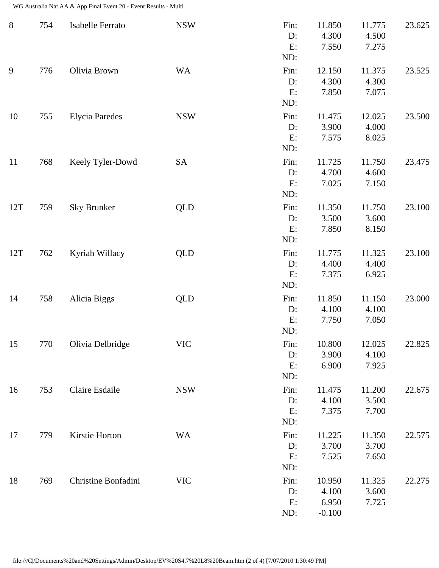WG Australia Nat AA & App Final Event 20 - Event Results - Multi

| $8\,$ | 754 | Isabelle Ferrato      | <b>NSW</b> | Fin:<br>D:<br>E:<br>ND:    | 11.850<br>4.300<br>7.550             | 11.775<br>4.500<br>7.275 | 23.625 |
|-------|-----|-----------------------|------------|----------------------------|--------------------------------------|--------------------------|--------|
| 9     | 776 | Olivia Brown          | <b>WA</b>  | Fin:<br>$D$ :<br>E:<br>ND: | 12.150<br>4.300<br>7.850             | 11.375<br>4.300<br>7.075 | 23.525 |
| 10    | 755 | <b>Elycia Paredes</b> | <b>NSW</b> | Fin:<br>D:<br>E:<br>ND:    | 11.475<br>3.900<br>7.575             | 12.025<br>4.000<br>8.025 | 23.500 |
| 11    | 768 | Keely Tyler-Dowd      | <b>SA</b>  | Fin:<br>D:<br>E:<br>ND:    | 11.725<br>4.700<br>7.025             | 11.750<br>4.600<br>7.150 | 23.475 |
| 12T   | 759 | Sky Brunker           | <b>QLD</b> | Fin:<br>D:<br>E:<br>ND:    | 11.350<br>3.500<br>7.850             | 11.750<br>3.600<br>8.150 | 23.100 |
| 12T   | 762 | Kyriah Willacy        | <b>QLD</b> | Fin:<br>D:<br>E:<br>ND:    | 11.775<br>4.400<br>7.375             | 11.325<br>4.400<br>6.925 | 23.100 |
| 14    | 758 | Alicia Biggs          | <b>QLD</b> | Fin:<br>D:<br>E:<br>ND:    | 11.850<br>4.100<br>7.750             | 11.150<br>4.100<br>7.050 | 23.000 |
| 15    | 770 | Olivia Delbridge      | <b>VIC</b> | Fin:<br>D:<br>E:<br>ND:    | 10.800<br>3.900<br>6.900             | 12.025<br>4.100<br>7.925 | 22.825 |
| 16    | 753 | Claire Esdaile        | <b>NSW</b> | Fin:<br>$D$ :<br>E:<br>ND: | 11.475<br>4.100<br>7.375             | 11.200<br>3.500<br>7.700 | 22.675 |
| 17    | 779 | Kirstie Horton        | <b>WA</b>  | Fin:<br>D:<br>E:<br>ND:    | 11.225<br>3.700<br>7.525             | 11.350<br>3.700<br>7.650 | 22.575 |
| 18    | 769 | Christine Bonfadini   | <b>VIC</b> | Fin:<br>D:<br>E:<br>ND:    | 10.950<br>4.100<br>6.950<br>$-0.100$ | 11.325<br>3.600<br>7.725 | 22.275 |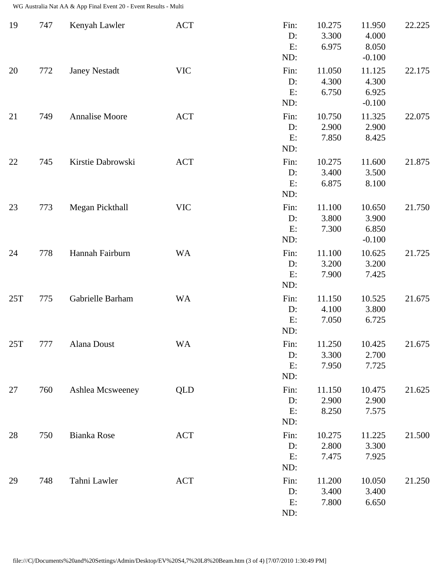WG Australia Nat AA & App Final Event 20 - Event Results - Multi

| 19  | 747 | Kenyah Lawler        | ACT        | Fin:<br>D:<br>E:<br>ND:    | 10.275<br>3.300<br>6.975 | 11.950<br>4.000<br>8.050<br>$-0.100$ | 22.225 |
|-----|-----|----------------------|------------|----------------------------|--------------------------|--------------------------------------|--------|
| 20  | 772 | <b>Janey Nestadt</b> | <b>VIC</b> | Fin:<br>D:<br>E:<br>ND:    | 11.050<br>4.300<br>6.750 | 11.125<br>4.300<br>6.925<br>$-0.100$ | 22.175 |
| 21  | 749 | Annalise Moore       | <b>ACT</b> | Fin:<br>D:<br>E:<br>ND:    | 10.750<br>2.900<br>7.850 | 11.325<br>2.900<br>8.425             | 22.075 |
| 22  | 745 | Kirstie Dabrowski    | <b>ACT</b> | Fin:<br>$D$ :<br>E:<br>ND: | 10.275<br>3.400<br>6.875 | 11.600<br>3.500<br>8.100             | 21.875 |
| 23  | 773 | Megan Pickthall      | <b>VIC</b> | Fin:<br>$D$ :<br>E:<br>ND: | 11.100<br>3.800<br>7.300 | 10.650<br>3.900<br>6.850<br>$-0.100$ | 21.750 |
| 24  | 778 | Hannah Fairburn      | <b>WA</b>  | Fin:<br>$D$ :<br>E:<br>ND: | 11.100<br>3.200<br>7.900 | 10.625<br>3.200<br>7.425             | 21.725 |
| 25T | 775 | Gabrielle Barham     | <b>WA</b>  | Fin:<br>D:<br>E:<br>ND:    | 11.150<br>4.100<br>7.050 | 10.525<br>3.800<br>6.725             | 21.675 |
| 25T | 777 | Alana Doust          | <b>WA</b>  | Fin:<br>D:<br>E:<br>ND:    | 11.250<br>3.300<br>7.950 | 10.425<br>2.700<br>7.725             | 21.675 |
| 27  | 760 | Ashlea Mcsweeney     | <b>QLD</b> | Fin:<br>$D$ :<br>E:<br>ND: | 11.150<br>2.900<br>8.250 | 10.475<br>2.900<br>7.575             | 21.625 |
| 28  | 750 | Bianka Rose          | <b>ACT</b> | Fin:<br>D:<br>E:<br>ND:    | 10.275<br>2.800<br>7.475 | 11.225<br>3.300<br>7.925             | 21.500 |
| 29  | 748 | Tahni Lawler         | <b>ACT</b> | Fin:<br>$D$ :<br>E:<br>ND: | 11.200<br>3.400<br>7.800 | 10.050<br>3.400<br>6.650             | 21.250 |